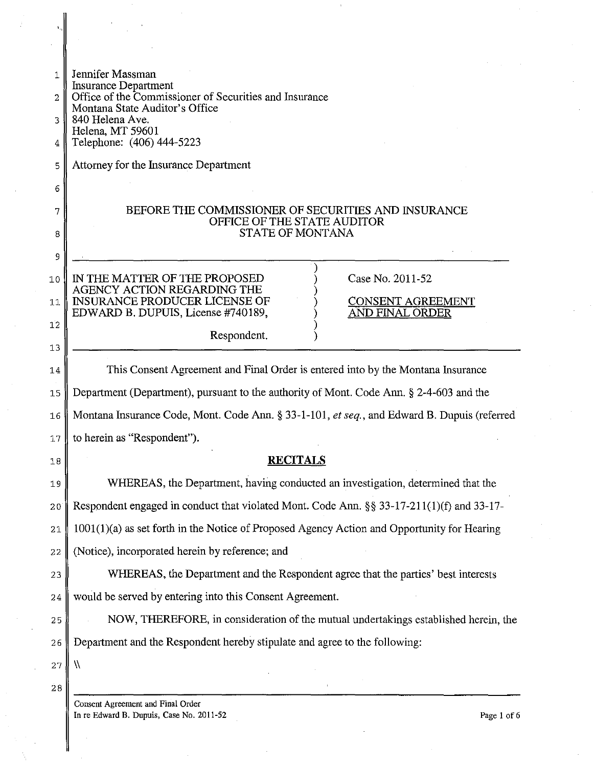| 1.<br>2 | Jennifer Massman<br>Insurance Department<br>Office of the Commissioner of Securities and Insurance                               |
|---------|----------------------------------------------------------------------------------------------------------------------------------|
| 3       | Montana State Auditor's Office<br>840 Helena Ave.<br>Helena, MT 59601                                                            |
| 4       | Telephone: (406) 444-5223                                                                                                        |
| 5       | Attorney for the Insurance Department                                                                                            |
| 6       |                                                                                                                                  |
| 7       | BEFORE THE COMMISSIONER OF SECURITIES AND INSURANCE<br>OFFICE OF THE STATE AUDITOR                                               |
| 8       | <b>STATE OF MONTANA</b>                                                                                                          |
| 9       |                                                                                                                                  |
| 10      | Case No. 2011-52<br>IN THE MATTER OF THE PROPOSED<br>AGENCY ACTION REGARDING THE                                                 |
| 11      | <b>INSURANCE PRODUCER LICENSE OF</b><br><b>CONSENT AGREEMENT</b><br>EDWARD B. DUPUIS, License #740189,<br><b>AND FINAL ORDER</b> |
| 12      | Respondent.                                                                                                                      |
| 13      |                                                                                                                                  |
| 14      | This Consent Agreement and Final Order is entered into by the Montana Insurance                                                  |
| 15      | Department (Department), pursuant to the authority of Mont. Code Ann. § 2-4-603 and the                                          |
| 16      | Montana Insurance Code, Mont. Code Ann. § 33-1-101, et seq., and Edward B. Dupuis (referred                                      |
| 17      | to herein as "Respondent").                                                                                                      |
| 18      | <b>RECITALS</b>                                                                                                                  |
| 19      | WHEREAS, the Department, having conducted an investigation, determined that the                                                  |
| 20      | Respondent engaged in conduct that violated Mont. Code Ann. §§ 33-17-211(1)(f) and 33-17-                                        |
| 21      | 1001(1)(a) as set forth in the Notice of Proposed Agency Action and Opportunity for Hearing                                      |
| 22      | (Notice), incorporated herein by reference; and                                                                                  |
| 23      | WHEREAS, the Department and the Respondent agree that the parties' best interests                                                |
| 24      | would be served by entering into this Consent Agreement.                                                                         |
| 25      | NOW, THEREFORE, in consideration of the mutual undertakings established herein, the                                              |
| 26      | Department and the Respondent hereby stipulate and agree to the following:                                                       |
| 27      | ₩                                                                                                                                |
| 28      | Consent Agreement and Final Order                                                                                                |
|         |                                                                                                                                  |

In re Edward B. Dupuis, Case No.  $2011-52$  Page 1 of 6

I.,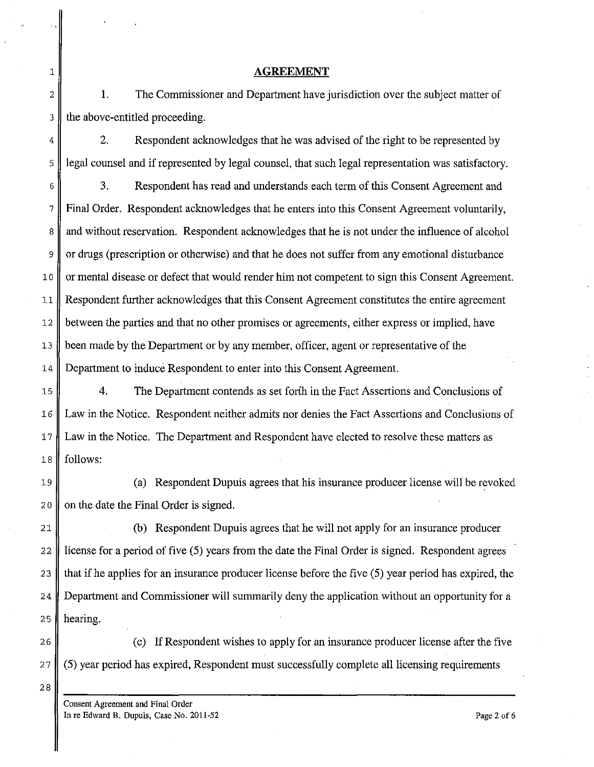## 1 **AGREEMENT**

2 || 1. The Commissioner and Department have jurisdiction over the subject matter of 3 the above-entitled proceeding.

 $4 \parallel$  2. Respondent acknowledges that he was advised of the right to be represented by 5 legal counsel and if represented by legal counsel, that such legal representation was satisfactory.

6 3. Respondent has read and understands each term of this Consent Agreement and 7 Final Order. Respondent acknowledges that he enters into this Consent Agreement voluntarily, 8 and without reservation. Respondent acknowledges that he is not under the influence of alcohol 9 or drugs (prescription or otherwise) and that he does not suffer from any emotional disturbance 10 || or mental disease or defect that would render him not competent to sign this Consent Agreement. 11 Respondent further acknowledges that this Consent Agreement constitutes the entire agreement 12 between the parties and that no other promises or agreements, either express or implied, have 13 been made by the Department or by any member, officer, agent or representative of the 14 Department to induce Respondent to enter into this Consent Agreement.

15 4. **The** Department contends as set forth in the Fact Assertions and Conclusions of 16 Law in the Notice. Respondent neither admits nor denies the Fact Assertions and Conclusions of 17 Law in the Notice. The Department and Respondent have elected to resolve these matters as 18 follows:

19 (a) Respondent Dupuis agrees that his insurance producer license will be revoked 20  $\parallel$  on the date the Final Order is signed.

21 (b) Respondent Dupuis agrees that he will not apply for an insurance producer 22 license for a period of five (5) years from the date the Final Order is signed. Respondent agrees 23  $\parallel$  that if he applies for an insurance producer license before the five (5) year period has expired, the 24 Department and Commissioner will summarily deny the application without an opportunity for a 25  $\parallel$  hearing.

26 (c) If Respondent wishes to apply for an insurance producer license after the five 27 (5) year period has expired, Respondent must successfully complete all licensing requirements

28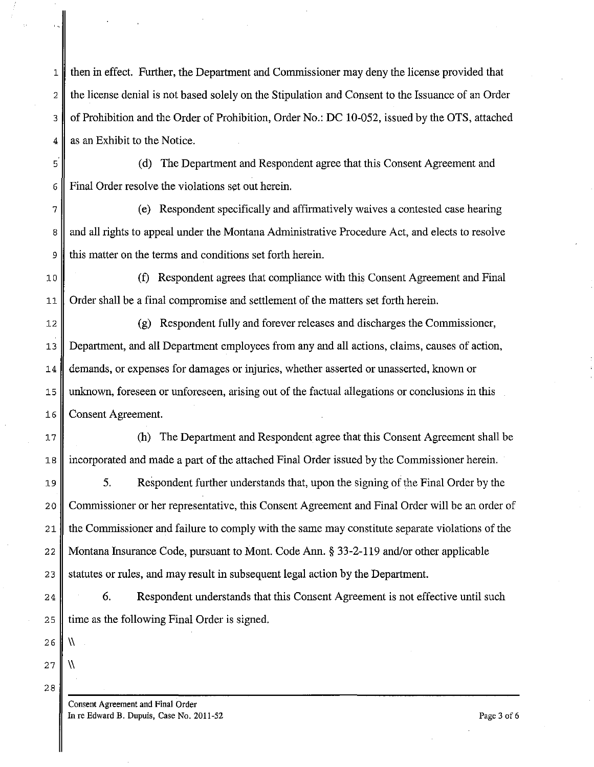1 then in effect. Further, the Department and Commissioner may deny the license provided that 2 the license denial is not based solely on the Stipulation and Consent to the Issuance of an Order 3 of Prohibition and the Order of Prohibition, Order No.: DC 10-052, issued by the OTS, attached  $4 \parallel$  as an Exhibit to the Notice.

5 (d) The Department and Respondent agree that this Consent Agreement and 6 Final Order resolve the violations set out herein.

7 (e) Respondent specifically and affirmatively waives a contested case hearing 8 and all rights to appeal under the Montana Administrative Procedure Act, and elects to resolve 9 this matter on the terms and conditions set forth herein.

10 (f) Respondent agrees that compliance with this Consent Agreement and Final 11 Order shall be a final compromise and settlement of the matters set forth herein.

12 (g) Respondent fully and forever releases and discharges the Commissioner, 13 Department, and all Department employees from any and all actions, claims, causes of action, 14 demands, or expenses for damages or injuries, whether asserted or unasserted, known or 15 unknown, foreseen or unforeseen, arising out of the factual allegations or conclusions in this 16 Consent Agreement.

17 (h) The Department and Respondent agree that this Consent Agreement shall be 18 incorporated and made a part of the attached Final Order issued by the Commissioner herein.

19 5. Respondent further understands that, upon the signing of the Final Order by the 20 Commissioner or her representative, this Consent Agreement and Final Order will be an order of 21 the Commissioner and failure to comply with the same may constitute separate violations of the 22 Montana Insurance Code, pursuant to Mont. Code Ann. § 33-2-119 and/or other applicable 23 Statutes or rules, and may result in subsequent legal action by the Department.

24 6. Respondent understands that this Consent Agreement is not effective until such 25  $\parallel$  time as the following Final Order is signed.

28

 $26 \parallel \text{W}$ 

27  $\|\ \mathcal{N}$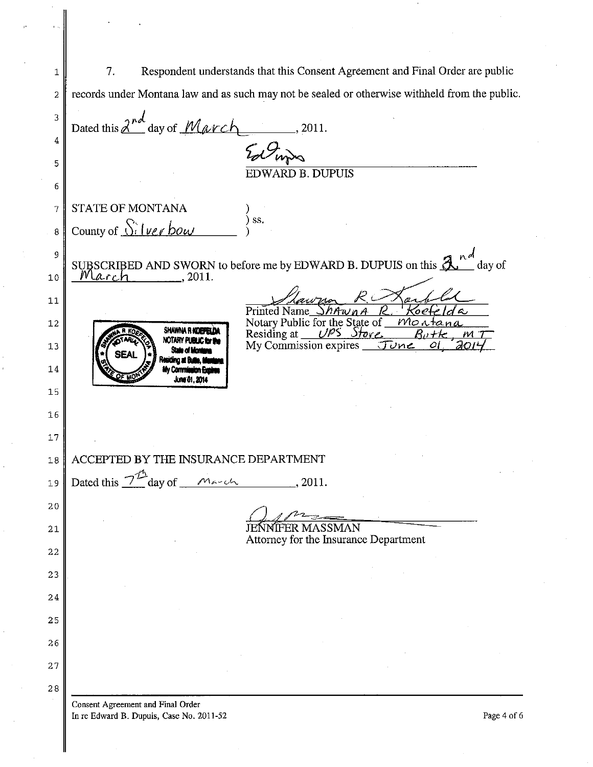1 7. Respondent understands that this Consent Agreement and Final Order are public 2 records under Montana law and as such may not be sealed or otherwise withheld from the public. 3 ,)1'1 Dated this fZl...- day of *Mt/<lrc"--* ' 2011. 4  $\frac{V_{\mathscr{O}} \mathcal{O}_{\mathsf{hyp}}}{E\text{DWARD B. DUPUIS}}$ 5 6 STATE OF MONTANA 7 ) ) ss. County of <u>Silver bow</u> 8 ) PUIS on this  $\frac{\lambda^{nd}}{\omega^{d}}$  day of<br>R. Koefeld a<br><u>F. Koefeld a</u> SUBSCRIBED AND SWORN to before me by EDWARD B. DUPUIS on this  $\mathcal{A}^{nd}$  day of  $\mathcal{A}^{n}$  day of 9 10 *rlarch*, 2011. Stawner ROX  $a$ , fla 11 Printed Name *ShAwn A* Printed Name\_*ShAwnA K*<br>Notary Public for the State of Notary Public for the State of *Montana*<br>Residing at *UPS Store*, *Butte*, *M 7*<br>My Commission expires *Tune OL 2014* 12 SHAWNA RHOEFELDA NOTARY PUBLIC for the My Commission expires 13 14 mĐ June 01, 2014 15 16 17 18 ACCEPTED BY THE INSURANCE DEPARTMENT 19 Dated this  $7^{\mathcal{D}}$  day of *March* , 2011. 20 **JENNIFER MASSMAN** 21 Attorney for the Insurance Department 22 23 24 25 26 27 28 **Consent Agreement and Final Order** 

In re Edward B. Dupuis, Case No. 2011-52 Page 4 of 6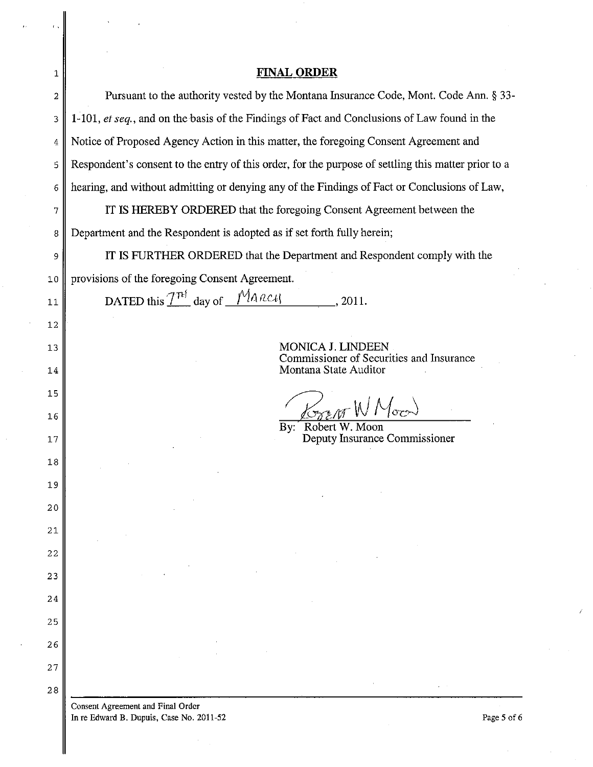| 1  | <b>FINAL ORDER</b>                                                                                  |
|----|-----------------------------------------------------------------------------------------------------|
| 2  | Pursuant to the authority vested by the Montana Insurance Code, Mont. Code Ann. § 33-               |
| 3  | 1-101, et seq., and on the basis of the Findings of Fact and Conclusions of Law found in the        |
| 4  | Notice of Proposed Agency Action in this matter, the foregoing Consent Agreement and                |
| 5  | Respondent's consent to the entry of this order, for the purpose of settling this matter prior to a |
| 6  | hearing, and without admitting or denying any of the Findings of Fact or Conclusions of Law,        |
| 7  | IT IS HEREBY ORDERED that the foregoing Consent Agreement between the                               |
| 8  | Department and the Respondent is adopted as if set forth fully herein;                              |
| 9  | IT IS FURTHER ORDERED that the Department and Respondent comply with the                            |
| 10 | provisions of the foregoing Consent Agreement.                                                      |
| 11 | DATED this $T^{\hat{\mu}}$ day of $M$ and $\mu$<br>.2011.                                           |
| 12 |                                                                                                     |
| 13 | <b>MONICA J. LINDEEN</b>                                                                            |
| 14 | Commissioner of Securities and Insurance<br>Montana State Auditor                                   |
| 15 |                                                                                                     |
| 16 | Kran W Moor<br>By: Robert W. Moon                                                                   |
| 17 | Deputy Insurance Commissioner                                                                       |
| 18 |                                                                                                     |
| 19 |                                                                                                     |
| 20 |                                                                                                     |
| 21 |                                                                                                     |
| 22 |                                                                                                     |
| 23 |                                                                                                     |
| 24 |                                                                                                     |
| 25 |                                                                                                     |
| 26 |                                                                                                     |
| 27 |                                                                                                     |
| 28 |                                                                                                     |
|    | <b>Consent Agreement and Final Order</b><br>In re Edward B. Dupuis, Case No. 2011-52<br>Page 5 of 6 |

In re Edward B. Dupuis, Case No. 2011-52

 $\langle \hat{r} \rangle \hat{q}$ 

 $\bar{z}$ 

 $\bar{z}$